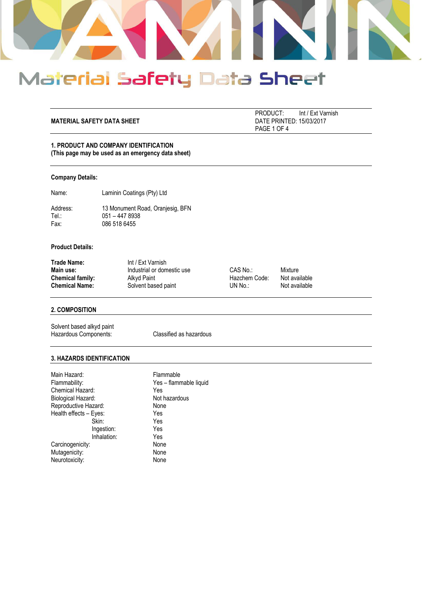

#### **MATERIAL SAFETY DATA SHEET**

PRODUCT: Int / Ext Varnish<br>DATE PRINTED: 15/03/2017 PAGE 1 OF 4

# **1. PRODUCT AND COMPANY IDENTIFICATION (This page may be used as an emergency data sheet)**

#### **Company Details:**

Name: Laminin Coatings (Pty) Ltd

Address: 13 Monument Road, Oranjesig, BFN<br>Tel.: 051 - 447 8938 Tel.: 051 – 447 8938<br>Fax: 086 518 6455 086 518 6455

# **Product Details:**

| Trade Name:           | Int / Ext Varnish          |               |               |
|-----------------------|----------------------------|---------------|---------------|
| Main use:             | Industrial or domestic use | CAS No.:      | Mixture       |
| Chemical family:      | Alkyd Paint                | Hazchem Code: | Not available |
| <b>Chemical Name:</b> | Solvent based paint        | UN No.:       | Not available |

# **2. COMPOSITION**

Solvent based alkyd paint Hazardous Components: Classified as hazardous

#### **3. HAZARDS IDENTIFICATION**

| Flammable              |
|------------------------|
| Yes - flammable liquid |
| Yes                    |
| Not hazardous          |
| None                   |
| Yes                    |
| Yes                    |
| Yes                    |
| Yes                    |
| None                   |
| None                   |
| None                   |
|                        |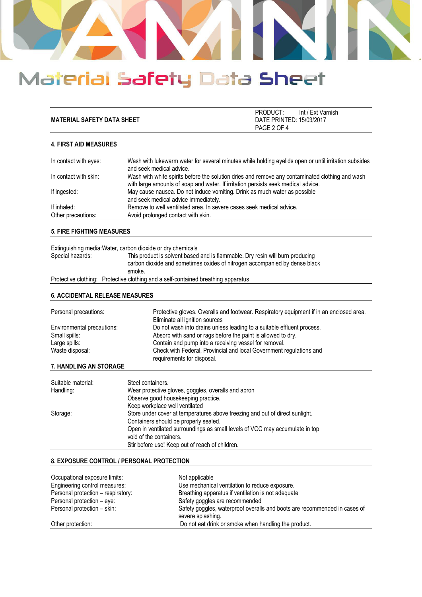

|                                   | PRODUCT:                 | Int / Ext Varnish |
|-----------------------------------|--------------------------|-------------------|
| <b>MATERIAL SAFETY DATA SHEET</b> | DATE PRINTED: 15/03/2017 |                   |
|                                   | PAGE 2 OF 4              |                   |

### **4. FIRST AID MEASURES**

| In contact with eyes:             | Wash with lukewarm water for several minutes while holding eyelids open or until irritation subsides<br>and seek medical advice.                                                     |
|-----------------------------------|--------------------------------------------------------------------------------------------------------------------------------------------------------------------------------------|
| In contact with skin:             | Wash with white spirits before the solution dries and remove any contaminated clothing and wash<br>with large amounts of soap and water. If irritation persists seek medical advice. |
| If ingested:                      | May cause nausea. Do not induce vomiting. Drink as much water as possible<br>and seek medical advice immediately.                                                                    |
| If inhaled:<br>Other precautions: | Remove to well ventilated area. In severe cases seek medical advice.<br>Avoid prolonged contact with skin.                                                                           |

### **5. FIRE FIGHTING MEASURES**

|                  | Extinguishing media: Water, carbon dioxide or dry chemicals                                                                                                           |
|------------------|-----------------------------------------------------------------------------------------------------------------------------------------------------------------------|
| Special hazards: | This product is solvent based and is flammable. Dry resin will burn producing<br>carbon dioxide and sometimes oxides of nitrogen accompanied by dense black<br>smoke. |
|                  | Protective clothing: Protective clothing and a self-contained breathing apparatus                                                                                     |

### **6. ACCIDENTAL RELEASE MEASURES**

| Personal precautions:         | Protective gloves. Overalls and footwear. Respiratory equipment if in an enclosed area.<br>Eliminate all ignition sources |
|-------------------------------|---------------------------------------------------------------------------------------------------------------------------|
| Environmental precautions:    | Do not wash into drains unless leading to a suitable effluent process.                                                    |
| Small spills:                 | Absorb with sand or rags before the paint is allowed to dry.                                                              |
| Large spills:                 | Contain and pump into a receiving vessel for removal.                                                                     |
| Waste disposal:               | Check with Federal, Provincial and local Government regulations and<br>requirements for disposal.                         |
| <b>7 HANDLING AN OTODA OF</b> |                                                                                                                           |

# **7. HANDLING AN STORAGE**

| Suitable material: | Steel containers.                                                            |
|--------------------|------------------------------------------------------------------------------|
| Handling:          | Wear protective gloves, goggles, overalls and apron                          |
|                    | Observe good housekeeping practice.                                          |
|                    | Keep workplace well ventilated                                               |
| Storage:           | Store under cover at temperatures above freezing and out of direct sunlight. |
|                    | Containers should be properly sealed.                                        |
|                    | Open in ventilated surroundings as small levels of VOC may accumulate in top |
|                    | void of the containers.                                                      |
|                    | Stir before use! Keep out of reach of children.                              |

### **8. EXPOSURE CONTROL / PERSONAL PROTECTION**

| Occupational exposure limits:      | Not applicable                                                                                 |
|------------------------------------|------------------------------------------------------------------------------------------------|
| Engineering control measures:      | Use mechanical ventilation to reduce exposure.                                                 |
| Personal protection - respiratory: | Breathing apparatus if ventilation is not adequate                                             |
| Personal protection – eye:         | Safety goggles are recommended                                                                 |
| Personal protection - skin:        | Safety goggles, waterproof overalls and boots are recommended in cases of<br>severe splashing. |
| Other protection:                  | Do not eat drink or smoke when handling the product.                                           |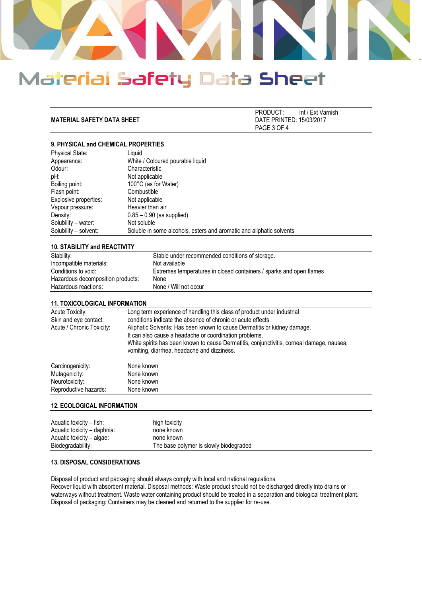

**MATERIAL SAFETY DATA SHEET** 

PRODUCT: Int / Ext Varnish<br>DATE PRINTED: 15/03/2017 PAGE 3 OF 4

# **9. PHYSICAL and CHEMICAL PROPERTIES**

| Liauid                                                               |
|----------------------------------------------------------------------|
| White / Coloured pourable liquid                                     |
| Characteristic                                                       |
| Not applicable                                                       |
| 100°C (as for Water)                                                 |
| Combustible                                                          |
| Not applicable                                                       |
| Heavier than air                                                     |
| $0.85 - 0.90$ (as supplied)                                          |
| Not soluble                                                          |
| Soluble in some alcohols, esters and aromatic and aliphatic solvents |
|                                                                      |

#### **10. STABILITY and REACTIVITY**

| Stability:                        | Stable under recommended conditions of storage.                     |
|-----------------------------------|---------------------------------------------------------------------|
| Incompatible materials:           | Not available                                                       |
| Conditions to void:               | Extremes temperatures in closed containers / sparks and open flames |
| Hazardous decomposition products: | None                                                                |
| Hazardous reactions:              | None / Will not occur                                               |

#### **11. TOXICOLOGICAL INFORMATION**

| Acute Toxicity:<br>Skin and eye contact:<br>Acute / Chronic Toxicity: | Long term experience of handling this class of product under industrial<br>conditions indicate the absence of chronic or acute effects.<br>Aliphatic Solvents: Has been known to cause Dermatitis or kidney damage.<br>It can also cause a headache or coordination problems.<br>White spirits has been known to cause Dermatitis, conjunctivitis, corneal damage, nausea,<br>vomiting, diarrhea, headache and dizziness. |
|-----------------------------------------------------------------------|---------------------------------------------------------------------------------------------------------------------------------------------------------------------------------------------------------------------------------------------------------------------------------------------------------------------------------------------------------------------------------------------------------------------------|
| Carcinogenicity:                                                      | None known                                                                                                                                                                                                                                                                                                                                                                                                                |
| Mutagenicity:                                                         | None known                                                                                                                                                                                                                                                                                                                                                                                                                |
| Neurotoxicity:                                                        | None known                                                                                                                                                                                                                                                                                                                                                                                                                |
| Reproductive hazards:                                                 | None known                                                                                                                                                                                                                                                                                                                                                                                                                |

#### **12. ECOLOGICAL INFORMATION**

| Aquatic toxicity – fish:    | high toxicity                          |
|-----------------------------|----------------------------------------|
| Aquatic toxicity – daphnia: | none known                             |
| Aquatic toxicity – algae:   | none known                             |
| Biodegradability:           | The base polymer is slowly biodegraded |

# **13. DISPOSAL CONSIDERATIONS**

Disposal of product and packaging should always comply with local and national regulations.

Recover liquid with absorbent material. Disposal methods: Waste product should not be discharged directly into drains or waterways without treatment. Waste water containing product should be treated in a separation and biological treatment plant. Disposal of packaging: Containers may be cleaned and returned to the supplier for re-use.